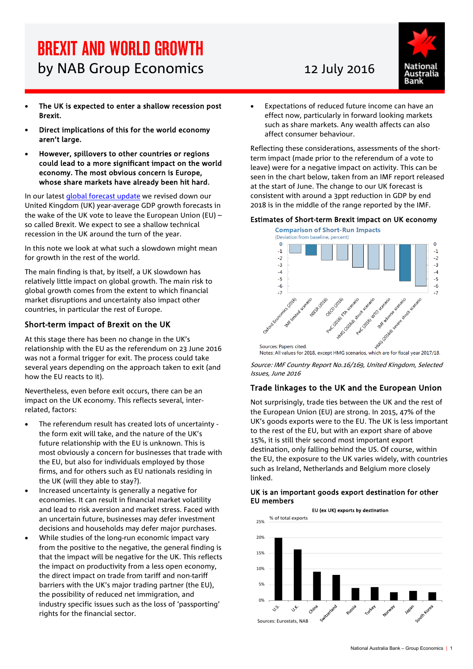# BREXIT AND WORLD GROWTH by NAB Group Economics 12 July 2016

- The UK is expected to enter a shallow recession post Brexit.
- Direct implications of this for the world economy aren't large.
- However, spillovers to other countries or regions could lead to a more significant impact on the world economy. The most obvious concern is Europe, whose share markets have already been hit hard.

In our latest [global forecast update](http://business.nab.com.au/global-australian-forecasts-2-17616/) we revised down our United Kingdom (UK) year-average GDP growth forecasts in the wake of the UK vote to leave the European Union (EU) – so called Brexit. We expect to see a shallow technical recession in the UK around the turn of the year.

In this note we look at what such a slowdown might mean for growth in the rest of the world.

The main finding is that, by itself, a UK slowdown has relatively little impact on global growth. The main risk to global growth comes from the extent to which financial market disruptions and uncertainty also impact other countries, in particular the rest of Europe.

#### Short-term impact of Brexit on the UK

At this stage there has been no change in the UK's relationship with the EU as the referendum on 23 June 2016 was not a formal trigger for exit. The process could take several years depending on the approach taken to exit (and how the EU reacts to it).

Nevertheless, even before exit occurs, there can be an impact on the UK economy. This reflects several, interrelated, factors:

- The referendum result has created lots of uncertainty the form exit will take, and the nature of the UK's future relationship with the EU is unknown. This is most obviously a concern for businesses that trade with the EU, but also for individuals employed by those firms, and for others such as EU nationals residing in the UK (will they able to stay?).
- Increased uncertainty is generally a negative for economies. It can result in financial market volatility and lead to risk aversion and market stress. Faced with an uncertain future, businesses may defer investment decisions and households may defer major purchases.
- While studies of the long-run economic impact vary from the positive to the negative, the general finding is that the impact will be negative for the UK. This reflects the impact on productivity from a less open economy, the direct impact on trade from tariff and non-tariff barriers with the UK's major trading partner (the EU), the possibility of reduced net immigration, and industry specific issues such as the loss of 'passporting' rights for the financial sector.



• Expectations of reduced future income can have an effect now, particularly in forward looking markets such as share markets. Any wealth affects can also affect consumer behaviour.

Reflecting these considerations, assessments of the shortterm impact (made prior to the referendum of a vote to leave) were for a negative impact on activity. This can be seen in the chart below, taken from an IMF report released at the start of June. The change to our UK forecast is consistent with around a 3ppt reduction in GDP by end 2018 is in the middle of the range reported by the IMF.

#### Estimates of Short-term Brexit impact on UK economy



Notes: All values for 2018, except HMG scenarios, which are for fiscal year 2017/18.

Source: IMF Country Report No.16/169, United Kingdom, Selected Issues, June 2016

### Trade linkages to the UK and the European Union

Not surprisingly, trade ties between the UK and the rest of the European Union (EU) are strong. In 2015, 47% of the UK's goods exports were to the EU. The UK is less important to the rest of the EU, but with an export share of above 15%, it is still their second most important export destination, only falling behind the US. Of course, within the EU, the exposure to the UK varies widely, with countries such as Ireland, Netherlands and Belgium more closely linked.

#### UK is an important goods export destination for other EU members

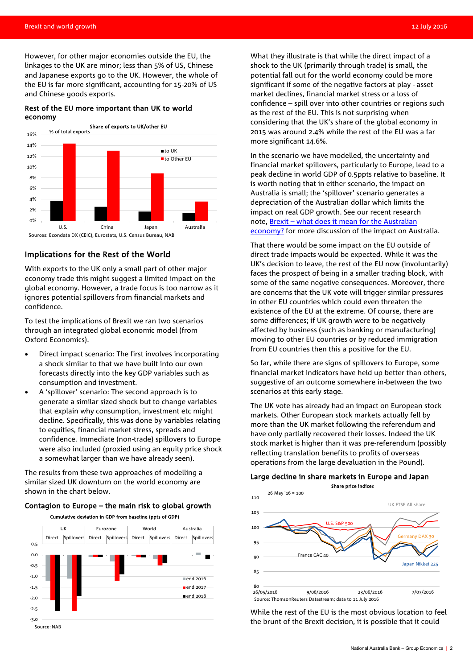However, for other major economies outside the EU, the linkages to the UK are minor; less than 5% of US, Chinese and Japanese exports go to the UK. However, the whole of the EU is far more significant, accounting for 15-20% of US and Chinese goods exports.

#### Rest of the EU more important than UK to world economy



#### Implications for the Rest of the World

With exports to the UK only a small part of other major economy trade this might suggest a limited impact on the global economy. However, a trade focus is too narrow as it ignores potential spillovers from financial markets and confidence.

To test the implications of Brexit we ran two scenarios through an integrated global economic model (from Oxford Economics).

- Direct impact scenario: The first involves incorporating a shock similar to that we have built into our own forecasts directly into the key GDP variables such as consumption and investment.
- A 'spillover' scenario: The second approach is to generate a similar sized shock but to change variables that explain why consumption, investment etc might decline. Specifically, this was done by variables relating to equities, financial market stress, spreads and confidence. Immediate (non-trade) spillovers to Europe were also included (proxied using an equity price shock a somewhat larger than we have already seen).

The results from these two approaches of modelling a similar sized UK downturn on the world economy are shown in the chart below.

#### Contagion to Europe – the main risk to global growth Cumulative deviation in GDP from baseline (ppts of GDP)



What they illustrate is that while the direct impact of a shock to the UK (primarily through trade) is small, the potential fall out for the world economy could be more significant if some of the negative factors at play - asset market declines, financial market stress or a loss of confidence – spill over into other countries or regions such as the rest of the EU. This is not surprising when considering that the UK's share of the global economy in 2015 was around 2.4% while the rest of the EU was a far more significant 14.6%.

In the scenario we have modelled, the uncertainty and financial market spillovers, particularly to Europe, lead to a peak decline in world GDP of 0.5ppts relative to baseline. It is worth noting that in either scenario, the impact on Australia is small; the 'spillover' scenario generates a depreciation of the Australian dollar which limits the impact on real GDP growth. See our recent research note, [Brexit – what does it mean for the Australian](http://business.nab.com.au/17461-17461/)  [economy?](http://business.nab.com.au/17461-17461/) for more discussion of the impact on Australia.

That there would be some impact on the EU outside of direct trade impacts would be expected. While it was the UK's decision to leave, the rest of the EU now (involuntarily) faces the prospect of being in a smaller trading block, with some of the same negative consequences. Moreover, there are concerns that the UK vote will trigger similar pressures in other EU countries which could even threaten the existence of the EU at the extreme. Of course, there are some differences; if UK growth were to be negatively affected by business (such as banking or manufacturing) moving to other EU countries or by reduced immigration from EU countries then this a positive for the EU.

So far, while there are signs of spillovers to Europe, some financial market indicators have held up better than others, suggestive of an outcome somewhere in-between the two scenarios at this early stage.

The UK vote has already had an impact on European stock markets. Other European stock markets actually fell by more than the UK market following the referendum and have only partially recovered their losses. Indeed the UK stock market is higher than it was pre-referendum (possibly reflecting translation benefits to profits of overseas operations from the large devaluation in the Pound).

#### Large decline in share markets in Europe and Japan Share price indices



While the rest of the EU is the most obvious location to feel the brunt of the Brexit decision, it is possible that it could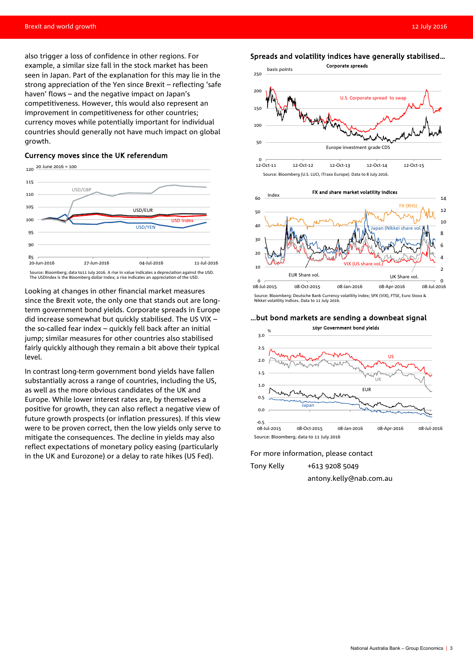also trigger a loss of confidence in other regions. For example, a similar size fall in the stock market has been seen in Japan. Part of the explanation for this may lie in the strong appreciation of the Yen since Brexit – reflecting 'safe haven' flows – and the negative impact on Japan's competitiveness. However, this would also represent an improvement in competitiveness for other countries; currency moves while potentially important for individual countries should generally not have much impact on global growth.

#### Currency moves since the UK referendum



Looking at changes in other financial market measures since the Brexit vote, the only one that stands out are longterm government bond yields. Corporate spreads in Europe did increase somewhat but quickly stabilised. The US VIX – the so-called fear index – quickly fell back after an initial jump; similar measures for other countries also stabilised fairly quickly although they remain a bit above their typical level.

In contrast long-term government bond yields have fallen substantially across a range of countries, including the US, as well as the more obvious candidates of the UK and Europe. While lower interest rates are, by themselves a positive for growth, they can also reflect a negative view of future growth prospects (or inflation pressures). If this view were to be proven correct, then the low yields only serve to mitigate the consequences. The decline in yields may also reflect expectations of monetary policy easing (particularly in the UK and Eurozone) or a delay to rate hikes (US Fed).

#### Spreads and volatility indices have generally stabilised…





Source: Bloomberg: Deutsche Bank Currency volatility index; SPX (VIX), FTSE, Euro Stoxx & Nikkei volatility indices. Data to 11 July 2016.

#### …but bond markets are sending a downbeat signal



#### For more information, please contact

Tony Kelly +613 9208 5049

antony.kelly@nab.com.au